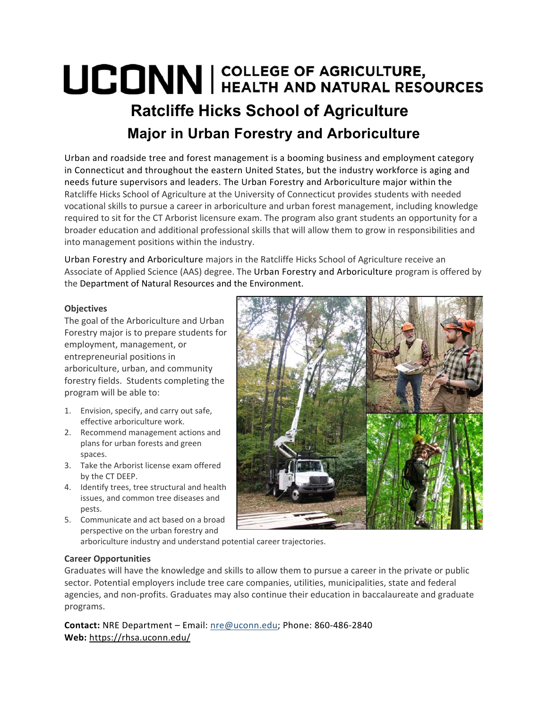## UCONN | COLLEGE OF AGRICULTURE, **Ratcliffe Hicks School of Agriculture Major in Urban Forestry and Arboriculture**

Urban and roadside tree and forest management is a booming business and employment category in Connecticut and throughout the eastern United States, but the industry workforce is aging and needs future supervisors and leaders. The Urban Forestry and Arboriculture major within the Ratcliffe Hicks School of Agriculture at the University of Connecticut provides students with needed vocational skills to pursue a career in arboriculture and urban forest management, including knowledge required to sit for the CT Arborist licensure exam. The program also grant students an opportunity for a broader education and additional professional skills that will allow them to grow in responsibilities and into management positions within the industry.

Urban Forestry and Arboriculture majors in the Ratcliffe Hicks School of Agriculture receive an Associate of Applied Science (AAS) degree. The Urban Forestry and Arboriculture program is offered by the Department of Natural Resources and the Environment.

## **Objectives**

The goal of the Arboriculture and Urban Forestry major is to prepare students for employment, management, or entrepreneurial positions in arboriculture, urban, and community forestry fields. Students completing the program will be able to:

- 1. Envision, specify, and carry out safe, effective arboriculture work.
- 2. Recommend management actions and plans for urban forests and green spaces.
- 3. Take the Arborist license exam offered by the CT DEEP.
- 4. Identify trees, tree structural and health issues, and common tree diseases and pests.
- 5. Communicate and act based on a broad perspective on the urban forestry and

arboriculture industry and understand potential career trajectories.

## **Career Opportunities**

Graduates will have the knowledge and skills to allow them to pursue a career in the private or public sector. Potential employers include tree care companies, utilities, municipalities, state and federal agencies, and non‐profits. Graduates may also continue their education in baccalaureate and graduate programs.

**Contact:** NRE Department – Email: nre@uconn.edu; Phone: 860‐486‐2840 **Web:** https://rhsa.uconn.edu/